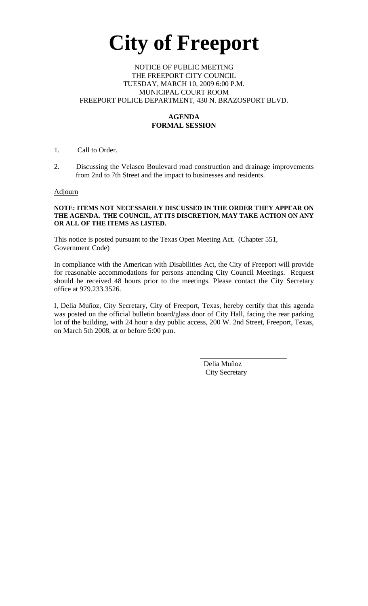# **City of Freeport**

#### NOTICE OF PUBLIC MEETING THE FREEPORT CITY COUNCIL TUESDAY, MARCH 10, 2009 6:00 P.M. MUNICIPAL COURT ROOM FREEPORT POLICE DEPARTMENT, 430 N. BRAZOSPORT BLVD.

## **AGENDA FORMAL SESSION**

### 1. Call to Order.

2. Discussing the Velasco Boulevard road construction and drainage improvements from 2nd to 7th Street and the impact to businesses and residents.

#### **Adjourn**

#### **NOTE: ITEMS NOT NECESSARILY DISCUSSED IN THE ORDER THEY APPEAR ON THE AGENDA. THE COUNCIL, AT ITS DISCRETION, MAY TAKE ACTION ON ANY OR ALL OF THE ITEMS AS LISTED.**

This notice is posted pursuant to the Texas Open Meeting Act. (Chapter 551, Government Code)

In compliance with the American with Disabilities Act, the City of Freeport will provide for reasonable accommodations for persons attending City Council Meetings. Request should be received 48 hours prior to the meetings. Please contact the City Secretary office at 979.233.3526.

I, Delia Muñoz, City Secretary, City of Freeport, Texas, hereby certify that this agenda was posted on the official bulletin board/glass door of City Hall, facing the rear parking lot of the building, with 24 hour a day public access, 200 W. 2nd Street, Freeport, Texas, on March 5th 2008, at or before 5:00 p.m.

 $\mathcal{L}_\text{max}$  , which is a set of the set of the set of the set of the set of the set of the set of the set of the set of the set of the set of the set of the set of the set of the set of the set of the set of the set of

 Delia Muñoz City Secretary